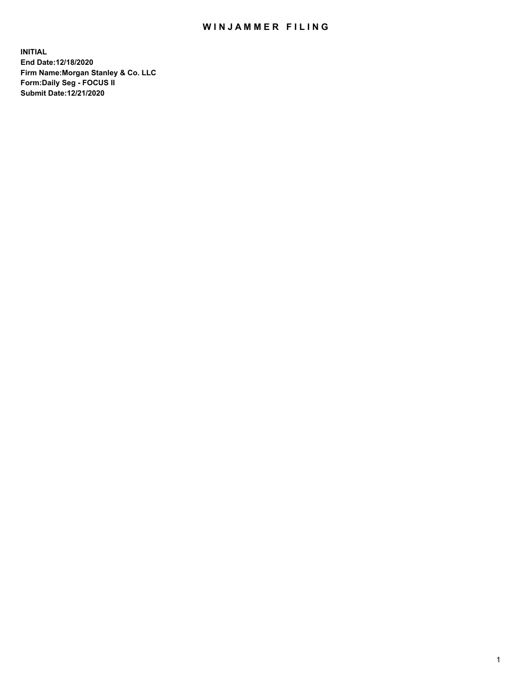## WIN JAMMER FILING

**INITIAL End Date:12/18/2020 Firm Name:Morgan Stanley & Co. LLC Form:Daily Seg - FOCUS II Submit Date:12/21/2020**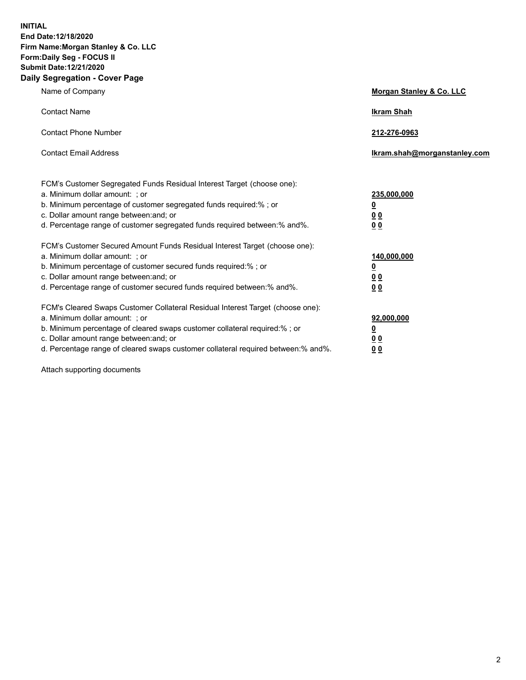**INITIAL End Date:12/18/2020 Firm Name:Morgan Stanley & Co. LLC Form:Daily Seg - FOCUS II Submit Date:12/21/2020 Daily Segregation - Cover Page**

| Name of Company                                                                                                                                                                                                                                                                                                               | Morgan Stanley & Co. LLC                                    |
|-------------------------------------------------------------------------------------------------------------------------------------------------------------------------------------------------------------------------------------------------------------------------------------------------------------------------------|-------------------------------------------------------------|
| <b>Contact Name</b>                                                                                                                                                                                                                                                                                                           | <b>Ikram Shah</b>                                           |
| <b>Contact Phone Number</b>                                                                                                                                                                                                                                                                                                   | 212-276-0963                                                |
| <b>Contact Email Address</b>                                                                                                                                                                                                                                                                                                  | Ikram.shah@morganstanley.com                                |
| FCM's Customer Segregated Funds Residual Interest Target (choose one):<br>a. Minimum dollar amount: ; or<br>b. Minimum percentage of customer segregated funds required:% ; or<br>c. Dollar amount range between: and; or<br>d. Percentage range of customer segregated funds required between:% and%.                        | 235,000,000<br><u>0</u><br>0 <sub>0</sub><br>0 <sub>0</sub> |
| FCM's Customer Secured Amount Funds Residual Interest Target (choose one):<br>a. Minimum dollar amount: ; or<br>b. Minimum percentage of customer secured funds required:%; or<br>c. Dollar amount range between: and; or<br>d. Percentage range of customer secured funds required between:% and%.                           | 140,000,000<br><u>0</u><br>0 <sub>0</sub><br>0 <sub>0</sub> |
| FCM's Cleared Swaps Customer Collateral Residual Interest Target (choose one):<br>a. Minimum dollar amount: ; or<br>b. Minimum percentage of cleared swaps customer collateral required:%; or<br>c. Dollar amount range between: and; or<br>d. Percentage range of cleared swaps customer collateral required between:% and%. | 92,000,000<br><u>0</u><br><u>0 0</u><br>0 <sub>0</sub>      |

Attach supporting documents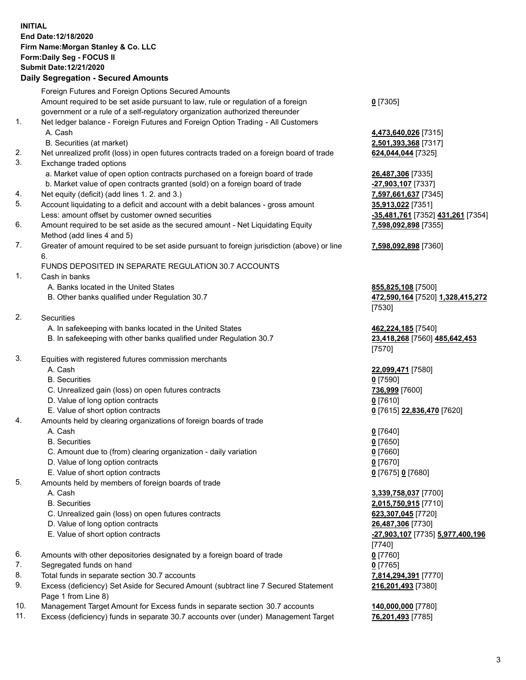## **INITIAL End Date:12/18/2020 Firm Name:Morgan Stanley & Co. LLC Form:Daily Seg - FOCUS II Submit Date:12/21/2020**

## **Daily Segregation - Secured Amounts**

|    | Foreign Futures and Foreign Options Secured Amounts                                         |                                    |
|----|---------------------------------------------------------------------------------------------|------------------------------------|
|    | Amount required to be set aside pursuant to law, rule or regulation of a foreign            | $0$ [7305]                         |
|    | government or a rule of a self-regulatory organization authorized thereunder                |                                    |
| 1. | Net ledger balance - Foreign Futures and Foreign Option Trading - All Customers             |                                    |
|    | A. Cash                                                                                     | 4,473,640,026 [7315]               |
|    | B. Securities (at market)                                                                   | 2,501,393,368 [7317]               |
| 2. | Net unrealized profit (loss) in open futures contracts traded on a foreign board of trade   | 624,044,044 [7325]                 |
| 3. | Exchange traded options                                                                     |                                    |
|    | a. Market value of open option contracts purchased on a foreign board of trade              | 26,487,306 [7335]                  |
|    | b. Market value of open contracts granted (sold) on a foreign board of trade                | -27,903,107 [7337]                 |
| 4. | Net equity (deficit) (add lines 1. 2. and 3.)                                               | 7,597,661,637 [7345]               |
| 5. | Account liquidating to a deficit and account with a debit balances - gross amount           | 35,913,022 [7351]                  |
|    | Less: amount offset by customer owned securities                                            | <u>-35,481,761</u> [7352] 43       |
| 6. | Amount required to be set aside as the secured amount - Net Liquidating Equity              | 7,598,092,898 [7355]               |
|    | Method (add lines 4 and 5)                                                                  |                                    |
| 7. | Greater of amount required to be set aside pursuant to foreign jurisdiction (above) or line | 7,598,092,898 [7360]               |
|    | 6.                                                                                          |                                    |
|    | FUNDS DEPOSITED IN SEPARATE REGULATION 30.7 ACCOUNTS                                        |                                    |
| 1. | Cash in banks                                                                               |                                    |
|    | A. Banks located in the United States                                                       | 855,825,108 [7500]                 |
|    | B. Other banks qualified under Regulation 30.7                                              | 472,590,164 [7520] 1               |
|    |                                                                                             | [7530]                             |
| 2. | <b>Securities</b>                                                                           |                                    |
|    | A. In safekeeping with banks located in the United States                                   | 462,224,185 [7540]                 |
|    | B. In safekeeping with other banks qualified under Regulation 30.7                          | 23,418,268 [7560] 48               |
|    |                                                                                             | [7570]                             |
| 3. | Equities with registered futures commission merchants                                       |                                    |
|    | A. Cash                                                                                     | 22,099,471 [7580]                  |
|    | <b>B.</b> Securities                                                                        | $0$ [7590]                         |
|    | C. Unrealized gain (loss) on open futures contracts                                         | 736,999 [7600]                     |
|    | D. Value of long option contracts                                                           | $0$ [7610]                         |
|    | E. Value of short option contracts                                                          | 0 [7615] 22,836,470 [              |
| 4. | Amounts held by clearing organizations of foreign boards of trade                           |                                    |
|    | A. Cash                                                                                     | $0$ [7640]                         |
|    | <b>B.</b> Securities                                                                        | $0$ [7650]                         |
|    | C. Amount due to (from) clearing organization - daily variation                             | $0$ [7660]                         |
|    | D. Value of long option contracts                                                           | $0$ [7670]                         |
|    | E. Value of short option contracts                                                          | 0 [7675] 0 [7680]                  |
| 5. | Amounts held by members of foreign boards of trade                                          |                                    |
|    | A. Cash                                                                                     | 3,339,758,037 [7700]               |
|    | <b>B.</b> Securities                                                                        | 2,015,750,915 [7710]               |
|    | C. Unrealized gain (loss) on open futures contracts                                         | 623,307,045 [7720]                 |
|    | D. Value of long option contracts                                                           | 26,487,306 [7730]                  |
|    | E. Value of short option contracts                                                          | <mark>-27,903,107</mark> [7735] 5. |
|    |                                                                                             | [7740]                             |
| 6. | Amounts with other depositories designated by a foreign board of trade                      | $0$ [7760]                         |
| 7. | Segregated funds on hand                                                                    | $0$ [7765]                         |
| 8. | Total funds in separate section 30.7 accounts                                               | 7,814,294,391 [7770]               |
| 9. | Excess (deficiency) Set Aside for Secured Amount (subtract line 7 Secured Statement         | 216,201,493 [7380]                 |
|    | Page 1 from Line 8)                                                                         |                                    |

- 10. Management Target Amount for Excess funds in separate section 30.7 accounts **140,000,000** [7780]
- 11. Excess (deficiency) funds in separate 30.7 accounts over (under) Management Target **76,201,493** [7785]

 A. Cash **4,473,640,026** [7315] **393,368** [7317]

87,306 [7335] **03,107** [7337] Less: amount offset by customer owned securities **-35,481,761** [7352] **431,261** [7354] **7,598,092,898** [7355]

## **7,598,092,898** [7360]

**25,108** [7500] B. Other banks qualified under Regulation 30.7 **472,590,164** [7520] **1,328,415,272** [(

**24,185** [7540] B. In safekeeping with other banks qualified under Regulation 30.7 **23,418,268** [7560] **485,642,453** [(

**29,471** [7580] E. Value of short option contracts **0** [7615] **22,836,470** [7620]

 A. Cash **3,339,758,037** [7700] B. Securities **2,015,750,915** [7710]  $(07, 045$  [7720] 0. 27,306 [7730] E. Value of short option contracts **-27,903,107** [7735] **5,977,400,196** [( **216,201,493** [7380]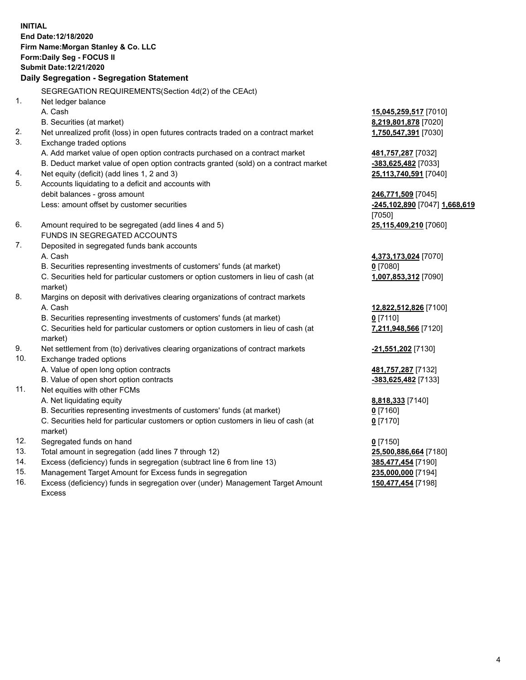**INITIAL End Date:12/18/2020 Firm Name:Morgan Stanley & Co. LLC Form:Daily Seg - FOCUS II Submit Date:12/21/2020 Daily Segregation - Segregation Statement** SEGREGATION REQUIREMENTS(Section 4d(2) of the CEAct) 1. Net ledger balance A. Cash **15,045,259,517** [7010] B. Securities (at market) **8,219,801,878** [7020] 2. Net unrealized profit (loss) in open futures contracts traded on a contract market **1,750,547,391** [7030] 3. Exchange traded options A. Add market value of open option contracts purchased on a contract market **481,757,287** [7032] B. Deduct market value of open option contracts granted (sold) on a contract market **-383,625,482** [7033] 4. Net equity (deficit) (add lines 1, 2 and 3) **25,113,740,591** [7040] 5. Accounts liquidating to a deficit and accounts with debit balances - gross amount **246,771,509** [7045] Less: amount offset by customer securities **-245,102,890** [7047] **1,668,619** [7050] 6. Amount required to be segregated (add lines 4 and 5) **25,115,409,210** [7060] FUNDS IN SEGREGATED ACCOUNTS 7. Deposited in segregated funds bank accounts A. Cash **4,373,173,024** [7070] B. Securities representing investments of customers' funds (at market) **0** [7080] C. Securities held for particular customers or option customers in lieu of cash (at market) **1,007,853,312** [7090] 8. Margins on deposit with derivatives clearing organizations of contract markets A. Cash **12,822,512,826** [7100] B. Securities representing investments of customers' funds (at market) **0** [7110] C. Securities held for particular customers or option customers in lieu of cash (at market) **7,211,948,566** [7120] 9. Net settlement from (to) derivatives clearing organizations of contract markets **-21,551,202** [7130] 10. Exchange traded options A. Value of open long option contracts **481,757,287** [7132] B. Value of open short option contracts **and the set of our original contracts -383,625,482** [7133] 11. Net equities with other FCMs A. Net liquidating equity **8,818,333** [7140] B. Securities representing investments of customers' funds (at market) **0** [7160] C. Securities held for particular customers or option customers in lieu of cash (at market) **0** [7170] 12. Segregated funds on hand **0** [7150] 13. Total amount in segregation (add lines 7 through 12) **25,500,886,664** [7180] 14. Excess (deficiency) funds in segregation (subtract line 6 from line 13) **385,477,454** [7190] 15. Management Target Amount for Excess funds in segregation **235,000,000** [7194]

16. Excess (deficiency) funds in segregation over (under) Management Target Amount Excess

**150,477,454** [7198]